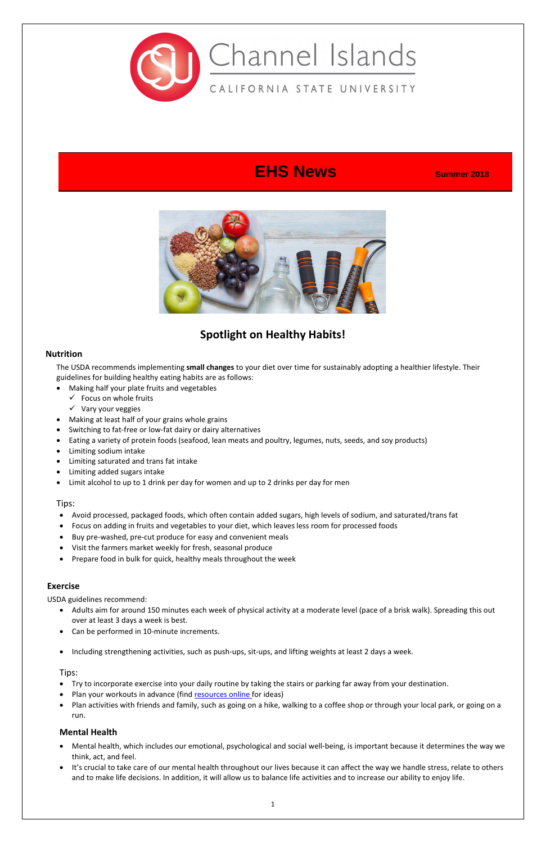

# **EHS News Summer** 2018



## **Spotlight on Healthy Habits!**

#### **Nutrition**

The USDA recommends implementing **small changes** to your diet over time for sustainably adopting a healthier lifestyle. Their guidelines for building healthy eating habits are as follows:

- Making half your plate fruits and vegetables
	- $\checkmark$  Focus on whole fruits
	- $\checkmark$  Vary your veggies
- Making at least half of your grains whole grains
- Switching to fat-free or low-fat dairy or dairy alternatives
- Eating a variety of protein foods (seafood, lean meats and poultry, legumes, nuts, seeds, and soy products)
- Limiting sodium intake
- Limiting saturated and trans fat intake
- Limiting added sugars intake
- Limit alcohol to up to 1 drink per day for women and up to 2 drinks per day for men

#### Tips:

- Avoid processed, packaged foods, which often contain added sugars, high levels of sodium, and saturated/trans fat
- Focus on adding in fruits and vegetables to your diet, which leaves less room for processed foods
- Buy pre-washed, pre-cut produce for easy and convenient meals
- Visit the farmers market weekly for fresh, seasonal produce
- Prepare food in bulk for quick, healthy meals throughout the week

#### **Exercise**

USDA guidelines recommend:

- Adults aim for around 150 minutes each week of physical activity at a moderate level (pace of a brisk walk). Spreading this out
- over at least 3 days a week is best.
- Can be performed in 10-minute increments.
- Including strengthening activities, such as push-ups, sit-ups, and lifting weights at least 2 days a week.

#### Tips:

- Try to incorporate exercise into your daily routine by taking the stairs or parking far away from your destination.
- Plan your workouts in advance (find [resources online](https://www.fitnessblender.com/videos) for ideas)
- Plan activities with friends and family, such as going on a hike, walking to a coffee shop or through your local park, or going on a run.

#### **Mental Health**

- Mental health, which includes our emotional, psychological and social well-being, is important because it determines the way we think, act, and feel.
- It's crucial to take care of our mental health throughout our lives because it can affect the way we handle stress, relate to others and to make life decisions. In addition, it will allow us to balance life activities and to increase our ability to enjoy life.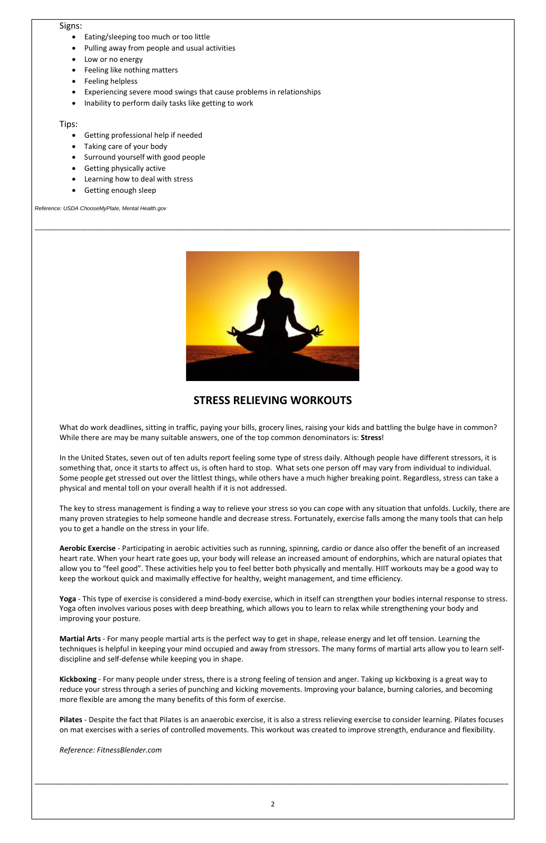#### Signs:

- Eating/sleeping too much or too little
- Pulling away from people and usual activities
- Low or no energy
- Feeling like nothing matters
- Feeling helpless
- Experiencing severe mood swings that cause problems in relationships
- Inability to perform daily tasks like getting to work

Tips:

- Getting professional help if needed
- Taking care of your body
- Surround yourself with good people
- Getting physically active
- Learning how to deal with stress
- Getting enough sleep

*Reference: USDA ChooseMyPlate, Mental Health.gov*



\_\_\_\_\_\_\_\_\_\_\_\_\_\_\_\_\_\_\_\_\_\_\_\_\_\_\_\_\_\_\_\_\_\_\_\_\_\_\_\_\_\_\_\_\_\_\_\_\_\_\_\_\_\_\_\_\_\_\_\_\_\_\_\_\_\_\_\_\_\_\_\_\_\_\_\_\_\_\_\_\_\_\_\_\_\_\_\_\_\_\_\_\_\_\_\_\_\_\_\_\_\_\_\_\_\_\_\_\_\_\_\_\_\_\_\_\_\_\_\_\_\_\_\_\_\_

## **STRESS RELIEVING WORKOUTS**

What do work deadlines, sitting in traffic, paying your bills, grocery lines, raising your kids and battling the bulge have in common? While there are may be many suitable answers, one of the top common denominators is: **Stress**!

In the United States, seven out of ten adults report feeling some type of stress daily. Although people have different stressors, it is something that, once it starts to affect us, is often hard to stop. What sets one person off may vary from individual to individual. Some people get stressed out over the littlest things, while others have a much higher breaking point. Regardless, stress can take a physical and mental toll on your overall health if it is not addressed.

The key to stress management is finding a way to relieve your stress so you can cope with any situation that unfolds. Luckily, there are many proven strategies to help someone handle and decrease stress. Fortunately, exercise falls among the many tools that can help you to get a handle on the stress in your life.

**Aerobic Exercise** - Participating in aerobic activities such as running, spinning, cardio or dance also offer the benefit of an increased heart rate. When your heart rate goes up, your body will release an increased amount of endorphins, which are natural opiates that allow you to "feel good". These activities help you to feel better both physically and mentally. HIIT workouts may be a good way to keep the workout quick and maximally effective for healthy, weight management, and time efficiency.

**Yoga** - This type of exercise is considered a mind-body exercise, which in itself can strengthen your bodies internal response to stress. Yoga often involves various poses with deep breathing, which allows you to learn to relax while strengthening your body and improving your posture.

**Martial Arts** - For many people martial arts is the perfect way to get in shape, release energy and let off tension. Learning the techniques is helpful in keeping your mind occupied and away from stressors. The many forms of martial arts allow you to learn selfdiscipline and self-defense while keeping you in shape.

**Kickboxing** - For many people under stress, there is a strong feeling of tension and anger. Taking up kickboxing is a great way to reduce your stress through a series of punching and kicking movements. Improving your balance, burning calories, and becoming more flexible are among the many benefits of this form of exercise.

**Pilates** - Despite the fact that Pilates is an anaerobic exercise, it is also a stress relieving exercise to consider learning. Pilates focuses on mat exercises with a series of controlled movements. This workout was created to improve strength, endurance and flexibility.

*Reference: FitnessBlender.com*

\_\_\_\_\_\_\_\_\_\_\_\_\_\_\_\_\_\_\_\_\_\_\_\_\_\_\_\_\_\_\_\_\_\_\_\_\_\_\_\_\_\_\_\_\_\_\_\_\_\_\_\_\_\_\_\_\_\_\_\_\_\_\_\_\_\_\_\_\_\_\_\_\_\_\_\_\_\_\_\_\_\_\_\_\_\_\_\_\_\_\_\_\_\_\_\_\_\_\_\_\_\_\_\_\_\_\_\_\_\_\_\_\_\_\_